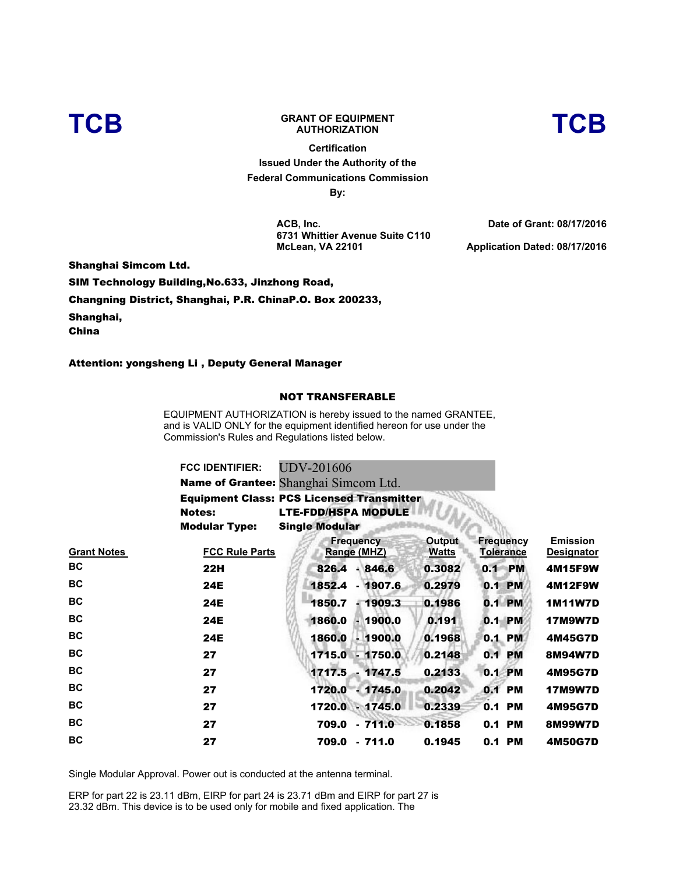

## **TCB GRANT OF EQUIPMENT**

**Certification Issued Under the Authority of the Federal Communications Commission By:**

**ACB, Inc. 6731 Whittier Avenue Suite C110 McLean, VA 22101**

**Date of Grant: 08/17/2016 Application Dated: 08/17/2016** 

**AUTHORIZATION TCB**

Shanghai Simcom Ltd.

SIM Technology Building,No.633, Jinzhong Road,

Changning District, Shanghai, P.R. ChinaP.O. Box 200233,

Shanghai,

China

Attention: yongsheng Li , Deputy General Manager

## NOT TRANSFERABLE

EQUIPMENT AUTHORIZATION is hereby issued to the named GRANTEE, and is VALID ONLY for the equipment identified hereon for use under the Commission's Rules and Regulations listed below.

|                    | <b>FCC IDENTIFIER:</b>                           | <b>UDV-201606</b>               |                        |                                      |                                      |
|--------------------|--------------------------------------------------|---------------------------------|------------------------|--------------------------------------|--------------------------------------|
|                    | Name of Grantee: Shanghai Simcom Ltd.            |                                 |                        |                                      |                                      |
|                    | <b>Equipment Class: PCS Licensed Transmitter</b> |                                 |                        |                                      |                                      |
|                    | <b>Notes:</b>                                    | <b>LTE-FDD/HSPA MODULE</b>      |                        |                                      |                                      |
|                    | <b>Modular Type:</b>                             | <b>Single Modular</b>           |                        |                                      |                                      |
| <u>Grant Notes</u> | <b>FCC Rule Parts</b>                            | <b>Frequency</b><br>Range (MHZ) | Output<br><b>Watts</b> | <b>Frequency</b><br><b>Tolerance</b> | <b>Emission</b><br><b>Designator</b> |
| ВC                 | 22H                                              | $-846.6$<br>826.4               | 0.3082                 | <b>PM</b><br>0.1                     | 4M15F9W                              |
| ВC                 | 24E                                              | 1852.4<br>$-1907.6$             | 0.2979                 | <b>PM</b><br>0.1                     | 4M12F9W                              |
| ВC                 | <b>24E</b>                                       | 1850.7<br>$-1909.3$             | 0.1986                 | 0.1 PM                               | <b>1M11W7D</b>                       |
| ВC                 | 24E                                              | 1860.0<br>$-1900.0$             | 0.191                  | 0.1 PM                               | <b>17M9W7D</b>                       |
| ВC                 | 24E                                              | $-1900.0$<br>1860.0             | 0.1968                 | 0.1 PM                               | 4M45G7D                              |
| ВC                 | 27                                               | 1715.0<br>$-1750.0$             | 0.2148                 | 0.1<br><b>PM</b>                     | 8M94W7D                              |
| ВC                 | 27                                               | $1717.5 -$<br>1747.5            | 0.2133                 | 0.1 PM                               | 4M95G7D                              |
| ВC                 | 27                                               | 1720.0<br>$-1745.0$             | 0.2042                 | 0.1 PM                               | <b>17M9W7D</b>                       |
| ВC                 | 27                                               | 1720.0 . 1745.0                 | 0.2339                 | 0.1 PM                               | 4M95G7D                              |
| ВC                 | 27                                               | 709.0<br>$-711.0$               | 0.1858                 | 0.1 PM                               | 8M99W7D                              |
| ВC                 | 27                                               | 709.0<br>$-711.0$               | 0.1945                 | 0.1 PM                               | 4M50G7D                              |
|                    |                                                  |                                 |                        |                                      |                                      |

Single Modular Approval. Power out is conducted at the antenna terminal.

ERP for part 22 is 23.11 dBm, EIRP for part 24 is 23.71 dBm and EIRP for part 27 is 23.32 dBm. This device is to be used only for mobile and fixed application. The